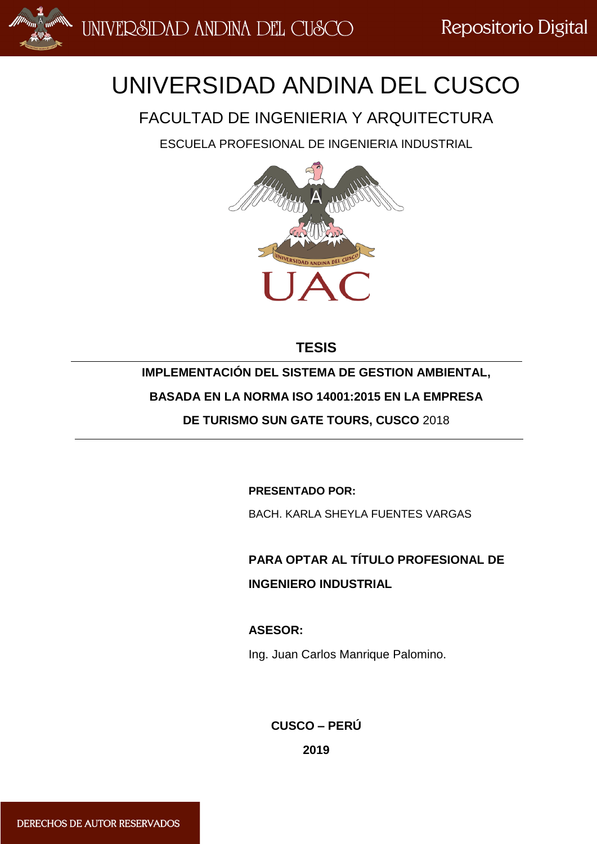

# UNIVERSIDAD ANDINA DEL CUSCO

FACULTAD DE INGENIERIA Y ARQUITECTURA

ESCUELA PROFESIONAL DE INGENIERIA INDUSTRIAL



## **TESIS**

## **IMPLEMENTACIÓN DEL SISTEMA DE GESTION AMBIENTAL,**

**BASADA EN LA NORMA ISO 14001:2015 EN LA EMPRESA** 

**DE TURISMO SUN GATE TOURS, CUSCO** 2018

**PRESENTADO POR:**

BACH. KARLA SHEYLA FUENTES VARGAS

**PARA OPTAR AL TÍTULO PROFESIONAL DE INGENIERO INDUSTRIAL**

### **ASESOR:**

Ing. Juan Carlos Manrique Palomino.

**CUSCO – PERÚ**

**2019**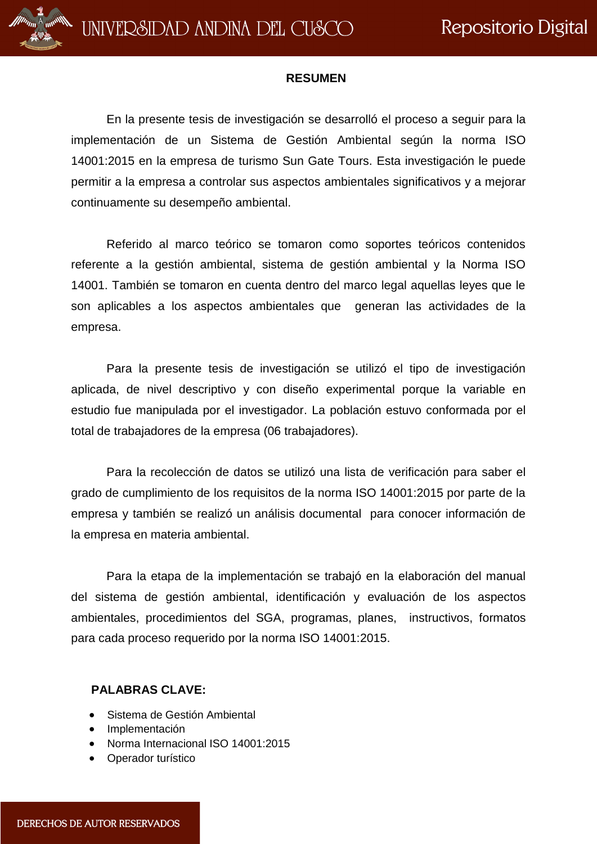

#### **RESUMEN**

En la presente tesis de investigación se desarrolló el proceso a seguir para la implementación de un Sistema de Gestión Ambiental según la norma ISO 14001:2015 en la empresa de turismo Sun Gate Tours. Esta investigación le puede permitir a la empresa a controlar sus aspectos ambientales significativos y a mejorar continuamente su desempeño ambiental.

Referido al marco teórico se tomaron como soportes teóricos contenidos referente a la gestión ambiental, sistema de gestión ambiental y la Norma ISO 14001. También se tomaron en cuenta dentro del marco legal aquellas leyes que le son aplicables a los aspectos ambientales que generan las actividades de la empresa.

Para la presente tesis de investigación se utilizó el tipo de investigación aplicada, de nivel descriptivo y con diseño experimental porque la variable en estudio fue manipulada por el investigador. La población estuvo conformada por el total de trabajadores de la empresa (06 trabajadores).

Para la recolección de datos se utilizó una lista de verificación para saber el grado de cumplimiento de los requisitos de la norma ISO 14001:2015 por parte de la empresa y también se realizó un análisis documental para conocer información de la empresa en materia ambiental.

Para la etapa de la implementación se trabajó en la elaboración del manual del sistema de gestión ambiental, identificación y evaluación de los aspectos ambientales, procedimientos del SGA, programas, planes, instructivos, formatos para cada proceso requerido por la norma ISO 14001:2015.

#### **PALABRAS CLAVE:**

- Sistema de Gestión Ambiental
- **·** Implementación
- Norma Internacional ISO 14001:2015
- Operador turístico